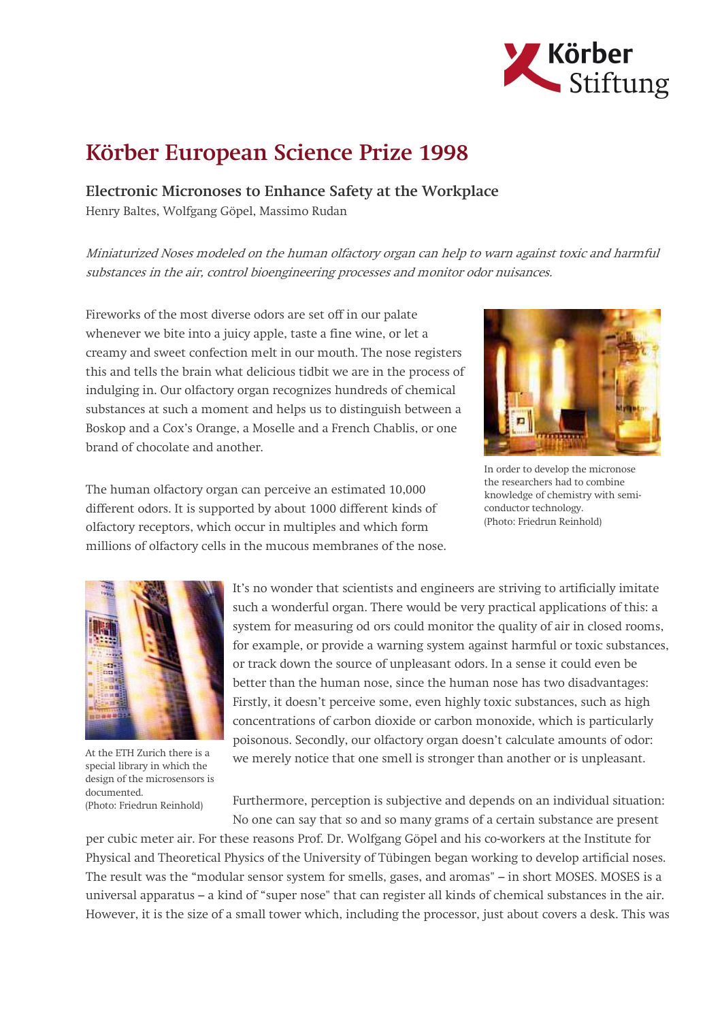

## Körber European Science Prize 1998

Electronic Micronoses to Enhance Safety at the Workplace Henry Baltes, Wolfgang Göpel, Massimo Rudan

Miniaturized Noses modeled on the human olfactory organ can help to warn against toxic and harmful substances in the air, control bioengineering processes and monitor odor nuisances.

Fireworks of the most diverse odors are set off in our palate whenever we bite into a juicy apple, taste a fine wine, or let a creamy and sweet confection melt in our mouth. The nose registers this and tells the brain what delicious tidbit we are in the process of indulging in. Our olfactory organ recognizes hundreds of chemical substances at such a moment and helps us to distinguish between a Boskop and a Cox's Orange, a Moselle and a French Chablis, or one brand of chocolate and another.



In order to develop the micronose the researchers had to combine knowledge of chemistry with semiconductor technology. (Photo: Friedrun Reinhold)

The human olfactory organ can perceive an estimated 10,000 different odors. It is supported by about 1000 different kinds of olfactory receptors, which occur in multiples and which form millions of olfactory cells in the mucous membranes of the nose.



At the ETH Zurich there is a special library in which the design of the microsensors is documented. (Photo: Friedrun Reinhold)

It's no wonder that scientists and engineers are striving to artificially imitate such a wonderful organ. There would be very practical applications of this: a system for measuring od ors could monitor the quality of air in closed rooms, for example, or provide a warning system against harmful or toxic substances, or track down the source of unpleasant odors. In a sense it could even be better than the human nose, since the human nose has two disadvantages: Firstly, it doesn't perceive some, even highly toxic substances, such as high concentrations of carbon dioxide or carbon monoxide, which is particularly poisonous. Secondly, our olfactory organ doesn't calculate amounts of odor: we merely notice that one smell is stronger than another or is unpleasant.

Furthermore, perception is subjective and depends on an individual situation: No one can say that so and so many grams of a certain substance are present

per cubic meter air. For these reasons Prof. Dr. Wolfgang Göpel and his co-workers at the Institute for Physical and Theoretical Physics of the University of Tübingen began working to develop artificial noses. The result was the "modular sensor system for smells, gases, and aromas" – in short MOSES. MOSES is a universal apparatus – a kind of "super nose" that can register all kinds of chemical substances in the air. However, it is the size of a small tower which, including the processor, just about covers a desk. This was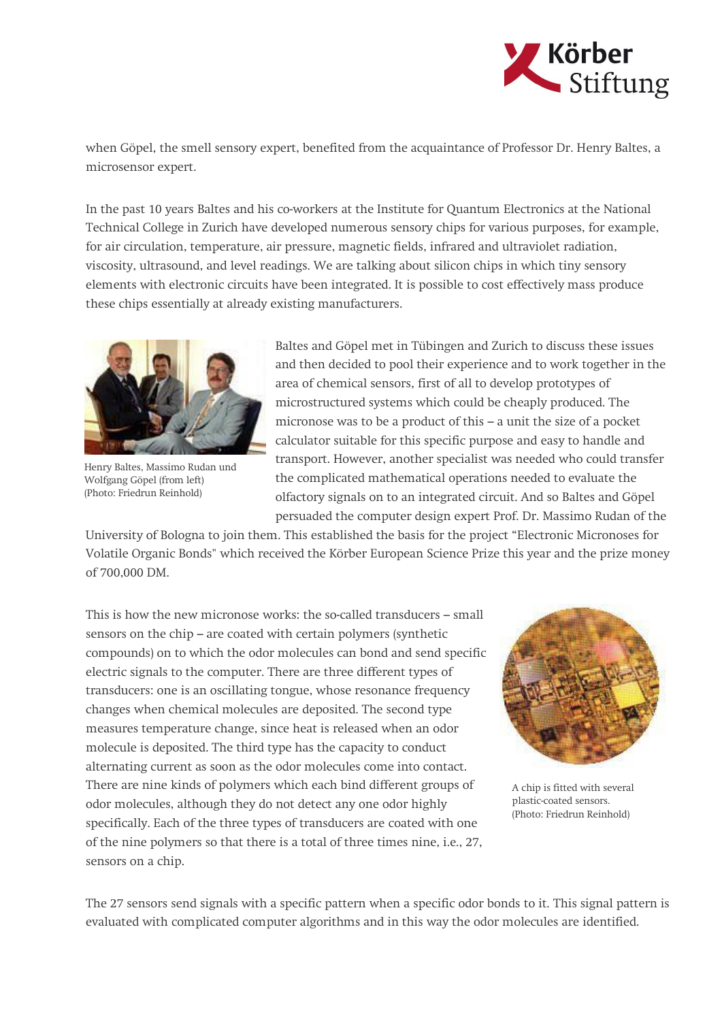

when Göpel, the smell sensory expert, benefited from the acquaintance of Professor Dr. Henry Baltes, a microsensor expert.

In the past 10 years Baltes and his co-workers at the Institute for Quantum Electronics at the National Technical College in Zurich have developed numerous sensory chips for various purposes, for example, for air circulation, temperature, air pressure, magnetic fields, infrared and ultraviolet radiation, viscosity, ultrasound, and level readings. We are talking about silicon chips in which tiny sensory elements with electronic circuits have been integrated. It is possible to cost effectively mass produce these chips essentially at already existing manufacturers.



Henry Baltes, Massimo Rudan und Wolfgang Göpel (from left) (Photo: Friedrun Reinhold)

Baltes and Göpel met in Tübingen and Zurich to discuss these issues and then decided to pool their experience and to work together in the area of chemical sensors, first of all to develop prototypes of microstructured systems which could be cheaply produced. The micronose was to be a product of this – a unit the size of a pocket calculator suitable for this specific purpose and easy to handle and transport. However, another specialist was needed who could transfer the complicated mathematical operations needed to evaluate the olfactory signals on to an integrated circuit. And so Baltes and Göpel persuaded the computer design expert Prof. Dr. Massimo Rudan of the

University of Bologna to join them. This established the basis for the project "Electronic Micronoses for Volatile Organic Bonds" which received the Körber European Science Prize this year and the prize money of 700,000 DM.

This is how the new micronose works: the so-called transducers – small sensors on the chip – are coated with certain polymers (synthetic compounds) on to which the odor molecules can bond and send specific electric signals to the computer. There are three different types of transducers: one is an oscillating tongue, whose resonance frequency changes when chemical molecules are deposited. The second type measures temperature change, since heat is released when an odor molecule is deposited. The third type has the capacity to conduct alternating current as soon as the odor molecules come into contact. There are nine kinds of polymers which each bind different groups of odor molecules, although they do not detect any one odor highly specifically. Each of the three types of transducers are coated with one of the nine polymers so that there is a total of three times nine, i.e., 27, sensors on a chip.



A chip is fitted with several plastic-coated sensors. (Photo: Friedrun Reinhold)

The 27 sensors send signals with a specific pattern when a specific odor bonds to it. This signal pattern is evaluated with complicated computer algorithms and in this way the odor molecules are identified.